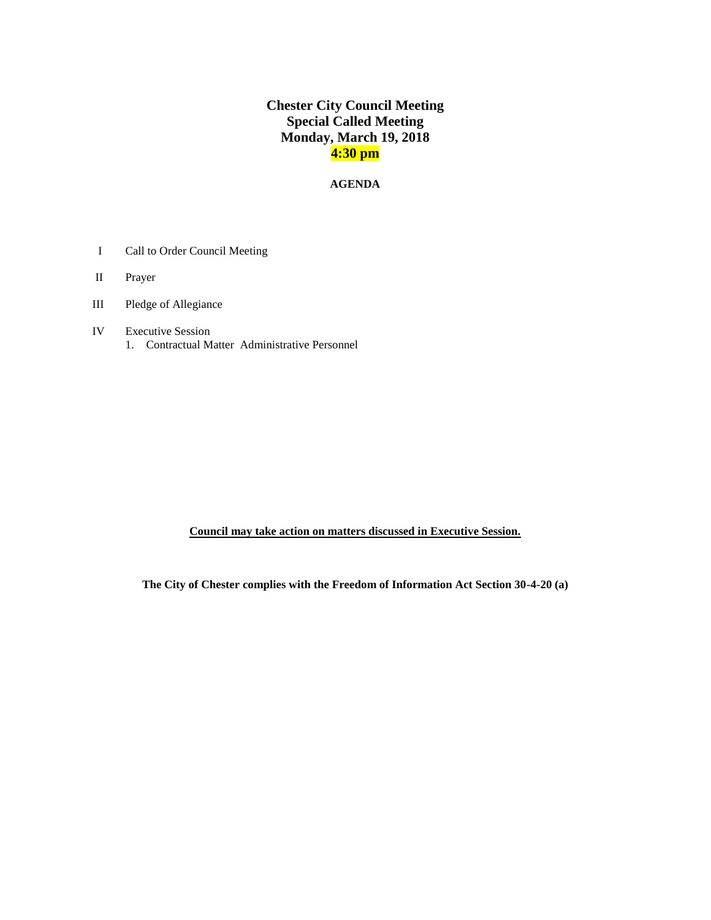# **Chester City Council Meeting Special Called Meeting Monday, March 19, 2018 4:30 pm**

### **AGENDA**

- I Call to Order Council Meeting
- II Prayer
- III Pledge of Allegiance
- IV Executive Session 1. Contractual Matter Administrative Personnel

**Council may take action on matters discussed in Executive Session.** 

**The City of Chester complies with the Freedom of Information Act Section 30-4-20 (a)**